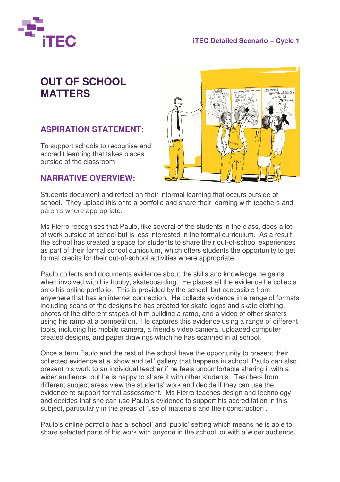

#### **iTEC Detailed Scenario – Cycle 1**

# **OUT OF SCHOOL MATTERS**

### **ASPIRATION STATEMENT:**

To support schools to recognise and accredit learning that takes places outside of the classroom

#### **NARRATIVE OVERVIEW:**



Students document and reflect on their informal learning that occurs outside of school. They upload this onto a portfolio and share their learning with teachers and parents where appropriate.

Ms Fierro recognises that Paulo, like several of the students in the class, does a lot of work outside of school but is less interested in the formal curriculum. As a result the school has created a space for students to share their out-of-school experiences as part of their formal school curriculum, which offers students the opportunity to get formal credits for their out-of-school activities where appropriate.

Paulo collects and documents evidence about the skills and knowledge he gains when involved with his hobby, skateboarding. He places all the evidence he collects onto his online portfolio. This is provided by the school, but accessible from anywhere that has an internet connection. He collects evidence in a range of formats including scans of the designs he has created for skate logos and skate clothing, photos of the different stages of him building a ramp, and a video of other skaters using his ramp at a competition. He captures this evidence using a range of different tools, including his mobile camera, a friend's video camera, uploaded computer created designs, and paper drawings which he has scanned in at school.

Once a term Paulo and the rest of the school have the opportunity to present their collected evidence at a 'show and tell' gallery that happens in school. Paulo can also present his work to an individual teacher if he feels uncomfortable sharing it with a wider audience, but he is happy to share it with other students. Teachers from different subject areas view the students' work and decide if they can use the evidence to support formal assessment. Ms Fierro teaches design and technology and decides that she can use Paulo's evidence to support his accreditation in this subject, particularly in the areas of 'use of materials and their construction'.

Paulo's online portfolio has a 'school' and 'public' setting which means he is able to share selected parts of his work with anyone in the school, or with a wider audience.